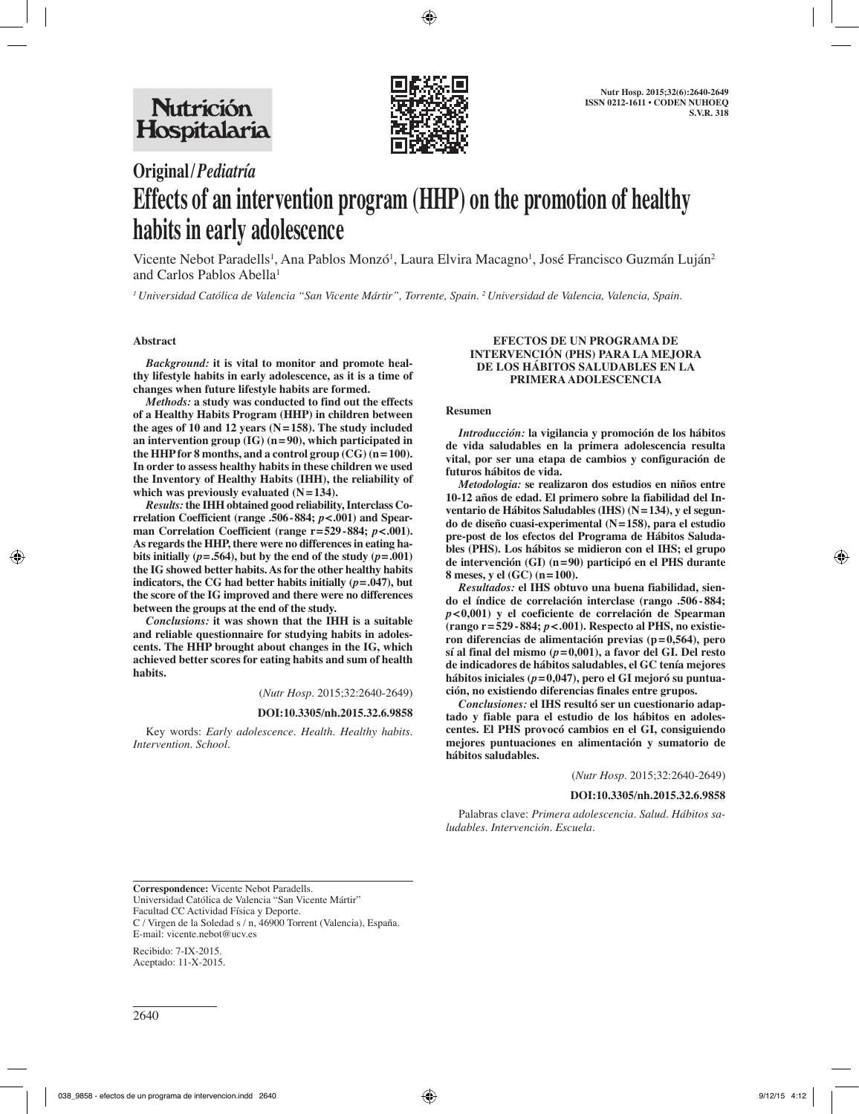

# **Original/***Pediatría* **Effects of an intervention program (HHP) on the promotion of healthy habits in early adolescence**

Vicente Nebot Paradells<sup>1</sup>, Ana Pablos Monzó<sup>1</sup>, Laura Elvira Macagno<sup>1</sup>, José Francisco Guzmán Luján<sup>2</sup> and Carlos Pablos Abella<sup>1</sup>

*1 Universidad Católica de Valencia "San Vicente Mártir", Torrente, Spain. 2 Universidad de Valencia, Valencia, Spain.*

#### **Abstract**

*Background:* **it is vital to monitor and promote healthy lifestyle habits in early adolescence, as it is a time of changes when future lifestyle habits are formed.**

*Methods:* **a study was conducted to find out the effects of a Healthy Habits Program (HHP) in children between the ages of 10 and 12 years (N=158). The study included an intervention group (IG) (n=90), which participated in the HHP for 8 months, and a control group (CG) (n=100). In order to assess healthy habits in these children we used the Inventory of Healthy Habits (IHH), the reliability of which was previously evaluated (N=134).**

*Results:* **the IHH obtained good reliability, Interclass Correlation Coefficient (range .506-884;** *p***<.001) and Spearman Correlation Coefficient (range r=529-884;** *p***<.001). As regards the HHP, there were no differences in eating habits initially** ( $p = .564$ ), but by the end of the study ( $p = .001$ ) **the IG showed better habits. As for the other healthy habits indicators, the CG had better habits initially**  $(p=.047)$ **, but the score of the IG improved and there were no differences between the groups at the end of the study.**

*Conclusions:* **it was shown that the IHH is a suitable and reliable questionnaire for studying habits in adolescents. The HHP brought about changes in the IG, which achieved better scores for eating habits and sum of health habits.**

(*Nutr Hosp.* 2015;32:2640-2649)

#### **DOI:10.3305/nh.2015.32.6.9858**

Key words: *Early adolescence. Health. Healthy habits. Intervention. School.*

#### **EFECTOS DE UN PROGRAMA DE INTERVENCIÓN (PHS) PARA LA MEJORA DE LOS HÁBITOS SALUDABLES EN LA PRIMERA ADOLESCENCIA**

#### **Resumen**

*Introducción:* **la vigilancia y promoción de los hábitos de vida saludables en la primera adolescencia resulta vital, por ser una etapa de cambios y configuración de futuros hábitos de vida.**

*Metodologia:* **se realizaron dos estudios en niños entre 10-12 años de edad. El primero sobre la fiabilidad del Inventario de Hábitos Saludables (IHS) (N=134), y el segundo de diseño cuasi-experimental (N=158), para el estudio pre-post de los efectos del Programa de Hábitos Saludables (PHS). Los hábitos se midieron con el IHS; el grupo de intervención (GI) (n=90) participó en el PHS durante 8 meses, y el (GC) (n=100).**

*Resultados:* **el IHS obtuvo una buena fiabilidad, siendo el índice de correlación interclase (rango .506-884;**  *p***<0,001) y el coeficiente de correlación de Spearman (rango r=529- 884;** *p***<.001). Respecto al PHS, no existieron diferencias de alimentación previas (p=0,564), pero sí al final del mismo (***p***=0,001), a favor del GI. Del resto de indicadores de hábitos saludables, el GC tenía mejores hábitos iniciales (***p***=0,047), pero el GI mejoró su puntuación, no existiendo diferencias finales entre grupos.**

*Conclusiones:* **el IHS resultó ser un cuestionario adaptado y fiable para el estudio de los hábitos en adolescentes. El PHS provocó cambios en el GI, consiguiendo mejores puntuaciones en alimentación y sumatorio de hábitos saludables.**

(*Nutr Hosp.* 2015;32:2640-2649)

#### **DOI:10.3305/nh.2015.32.6.9858**

Palabras clave: *Primera adolescencia. Salud. Hábitos saludables. Intervención. Escuela.*

**Correspondence:** Vicente Nebot Paradells. Universidad Católica de Valencia "San Vicente Mártir" Facultad CC Actividad Física y Deporte. C / Virgen de la Soledad s / n, 46900 Torrent (Valencia), España. E-mail: vicente.nebot@ucv.es

Recibido: 7-IX-2015. Aceptado: 11-X-2015.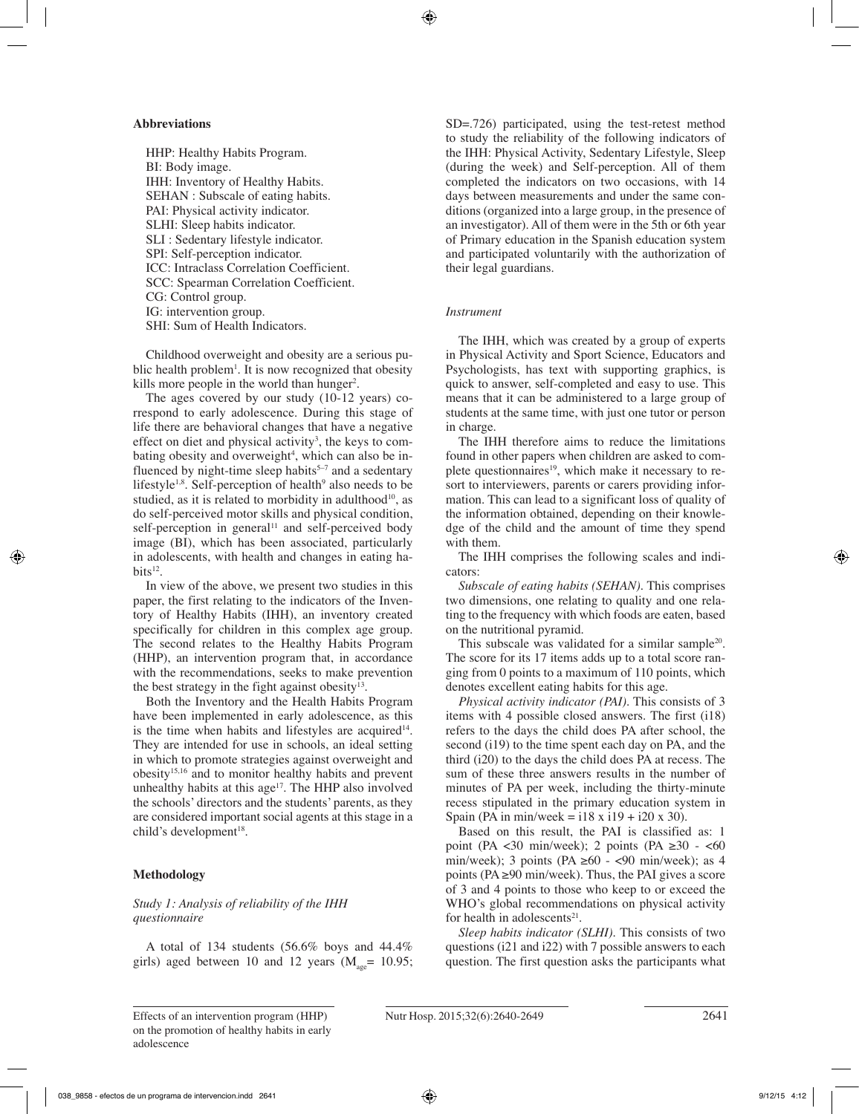#### **Abbreviations**

HHP: Healthy Habits Program. BI: Body image. IHH: Inventory of Healthy Habits. SEHAN : Subscale of eating habits. PAI: Physical activity indicator. SLHI: Sleep habits indicator. SLI : Sedentary lifestyle indicator. SPI: Self-perception indicator. ICC: Intraclass Correlation Coefficient. SCC: Spearman Correlation Coefficient. CG: Control group. IG: intervention group. SHI: Sum of Health Indicators.

Childhood overweight and obesity are a serious public health problem<sup>1</sup>. It is now recognized that obesity kills more people in the world than hunger<sup>2</sup>.

The ages covered by our study (10-12 years) correspond to early adolescence. During this stage of life there are behavioral changes that have a negative effect on diet and physical activity<sup>3</sup>, the keys to combating obesity and overweight<sup>4</sup>, which can also be influenced by night-time sleep habits $5-7$  and a sedentary lifestyle<sup>1,8</sup>. Self-perception of health<sup>9</sup> also needs to be studied, as it is related to morbidity in adulthood<sup>10</sup>, as do self-perceived motor skills and physical condition, self-perception in general<sup>11</sup> and self-perceived body image (BI), which has been associated, particularly in adolescents, with health and changes in eating habits $12$ .

In view of the above, we present two studies in this paper, the first relating to the indicators of the Inventory of Healthy Habits (IHH), an inventory created specifically for children in this complex age group. The second relates to the Healthy Habits Program (HHP), an intervention program that, in accordance with the recommendations, seeks to make prevention the best strategy in the fight against obesity<sup>13</sup>.

Both the Inventory and the Health Habits Program have been implemented in early adolescence, as this is the time when habits and lifestyles are acquired<sup>14</sup>. They are intended for use in schools, an ideal setting in which to promote strategies against overweight and obesity15,16 and to monitor healthy habits and prevent unhealthy habits at this  $age^{17}$ . The HHP also involved the schools' directors and the students' parents, as they are considered important social agents at this stage in a child's development<sup>18</sup>.

## **Methodology**

## *Study 1: Analysis of reliability of the IHH questionnaire*

A total of 134 students (56.6% boys and 44.4% girls) aged between 10 and 12 years ( $M_{\text{gas}}$ = 10.95; SD=.726) participated, using the test-retest method to study the reliability of the following indicators of the IHH: Physical Activity, Sedentary Lifestyle, Sleep (during the week) and Self-perception. All of them completed the indicators on two occasions, with 14 days between measurements and under the same conditions (organized into a large group, in the presence of an investigator). All of them were in the 5th or 6th year of Primary education in the Spanish education system and participated voluntarily with the authorization of their legal guardians.

#### *Instrument*

The IHH, which was created by a group of experts in Physical Activity and Sport Science, Educators and Psychologists, has text with supporting graphics, is quick to answer, self-completed and easy to use. This means that it can be administered to a large group of students at the same time, with just one tutor or person in charge.

The IHH therefore aims to reduce the limitations found in other papers when children are asked to complete questionnaires<sup>19</sup>, which make it necessary to resort to interviewers, parents or carers providing information. This can lead to a significant loss of quality of the information obtained, depending on their knowledge of the child and the amount of time they spend with them.

The IHH comprises the following scales and indicators:

*Subscale of eating habits (SEHAN).* This comprises two dimensions, one relating to quality and one relating to the frequency with which foods are eaten, based on the nutritional pyramid.

This subscale was validated for a similar sample<sup>20</sup>. The score for its 17 items adds up to a total score ranging from 0 points to a maximum of 110 points, which denotes excellent eating habits for this age.

*Physical activity indicator (PAI).* This consists of 3 items with 4 possible closed answers. The first (i18) refers to the days the child does PA after school, the second (i19) to the time spent each day on PA, and the third (i20) to the days the child does PA at recess. The sum of these three answers results in the number of minutes of PA per week, including the thirty-minute recess stipulated in the primary education system in Spain (PA in min/week = i18 x i19 + i20 x 30).

Based on this result, the PAI is classified as: 1 point (PA <30 min/week); 2 points (PA  $\geq 30$  - <60 min/week); 3 points (PA  $\geq 60$  - <90 min/week); as 4 points (PA  $\geq$ 90 min/week). Thus, the PAI gives a score of 3 and 4 points to those who keep to or exceed the WHO's global recommendations on physical activity for health in adolescents $21$ .

*Sleep habits indicator (SLHI).* This consists of two questions (i21 and i22) with 7 possible answers to each question. The first question asks the participants what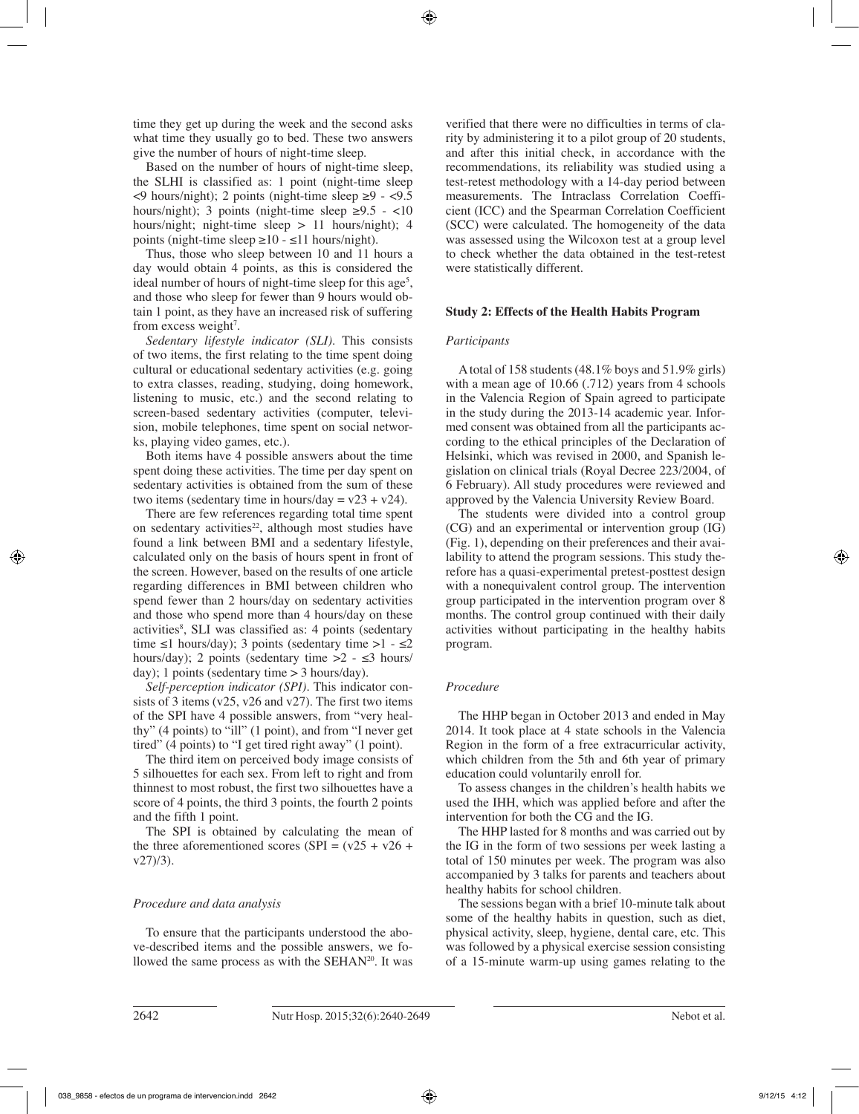time they get up during the week and the second asks what time they usually go to bed. These two answers give the number of hours of night-time sleep.

Based on the number of hours of night-time sleep, the SLHI is classified as: 1 point (night-time sleep  $\leq$ 9 hours/night); 2 points (night-time sleep  $\geq$ 9 -  $\leq$ 9.5 hours/night); 3 points (night-time sleep  $\geq 9.5$  - <10 hours/night; night-time sleep > 11 hours/night); 4 points (night-time sleep  $\geq 10 - \leq 11$  hours/night).

Thus, those who sleep between 10 and 11 hours a day would obtain 4 points, as this is considered the ideal number of hours of night-time sleep for this age<sup>5</sup>, and those who sleep for fewer than 9 hours would obtain 1 point, as they have an increased risk of suffering from excess weight<sup>7</sup>.

*Sedentary lifestyle indicator (SLI).* This consists of two items, the first relating to the time spent doing cultural or educational sedentary activities (e.g. going to extra classes, reading, studying, doing homework, listening to music, etc.) and the second relating to screen-based sedentary activities (computer, television, mobile telephones, time spent on social networks, playing video games, etc.).

Both items have 4 possible answers about the time spent doing these activities. The time per day spent on sedentary activities is obtained from the sum of these two items (sedentary time in hours/day =  $v23 + v24$ ).

There are few references regarding total time spent on sedentary activities<sup>22</sup>, although most studies have found a link between BMI and a sedentary lifestyle, calculated only on the basis of hours spent in front of the screen. However, based on the results of one article regarding differences in BMI between children who spend fewer than 2 hours/day on sedentary activities and those who spend more than 4 hours/day on these activities<sup>8</sup>, SLI was classified as: 4 points (sedentary time  $\leq 1$  hours/day); 3 points (sedentary time  $>1 - \leq 2$ hours/day); 2 points (sedentary time  $>2 - \leq 3$  hours/ day); 1 points (sedentary time  $> 3$  hours/day).

*Self-perception indicator (SPI).* This indicator consists of 3 items (v25, v26 and v27). The first two items of the SPI have 4 possible answers, from "very healthy" (4 points) to "ill" (1 point), and from "I never get tired" (4 points) to "I get tired right away" (1 point).

The third item on perceived body image consists of 5 silhouettes for each sex. From left to right and from thinnest to most robust, the first two silhouettes have a score of 4 points, the third 3 points, the fourth 2 points and the fifth 1 point.

The SPI is obtained by calculating the mean of the three aforementioned scores (SPI =  $(v25 + v26 +$  $v27/3$ ).

## *Procedure and data analysis*

To ensure that the participants understood the above-described items and the possible answers, we followed the same process as with the  $SEHAN<sup>20</sup>$ . It was verified that there were no difficulties in terms of clarity by administering it to a pilot group of 20 students, and after this initial check, in accordance with the recommendations, its reliability was studied using a test-retest methodology with a 14-day period between measurements. The Intraclass Correlation Coefficient (ICC) and the Spearman Correlation Coefficient (SCC) were calculated. The homogeneity of the data was assessed using the Wilcoxon test at a group level to check whether the data obtained in the test-retest were statistically different.

## **Study 2: Effects of the Health Habits Program**

## *Participants*

A total of 158 students (48.1% boys and 51.9% girls) with a mean age of 10.66 (.712) years from 4 schools in the Valencia Region of Spain agreed to participate in the study during the 2013-14 academic year. Informed consent was obtained from all the participants according to the ethical principles of the Declaration of Helsinki, which was revised in 2000, and Spanish legislation on clinical trials (Royal Decree 223/2004, of 6 February). All study procedures were reviewed and approved by the Valencia University Review Board.

The students were divided into a control group (CG) and an experimental or intervention group (IG) (Fig. 1), depending on their preferences and their availability to attend the program sessions. This study therefore has a quasi-experimental pretest-posttest design with a nonequivalent control group. The intervention group participated in the intervention program over 8 months. The control group continued with their daily activities without participating in the healthy habits program.

## *Procedure*

The HHP began in October 2013 and ended in May 2014. It took place at 4 state schools in the Valencia Region in the form of a free extracurricular activity, which children from the 5th and 6th year of primary education could voluntarily enroll for.

To assess changes in the children's health habits we used the IHH, which was applied before and after the intervention for both the CG and the IG.

The HHP lasted for 8 months and was carried out by the IG in the form of two sessions per week lasting a total of 150 minutes per week. The program was also accompanied by 3 talks for parents and teachers about healthy habits for school children.

The sessions began with a brief 10-minute talk about some of the healthy habits in question, such as diet, physical activity, sleep, hygiene, dental care, etc. This was followed by a physical exercise session consisting of a 15-minute warm-up using games relating to the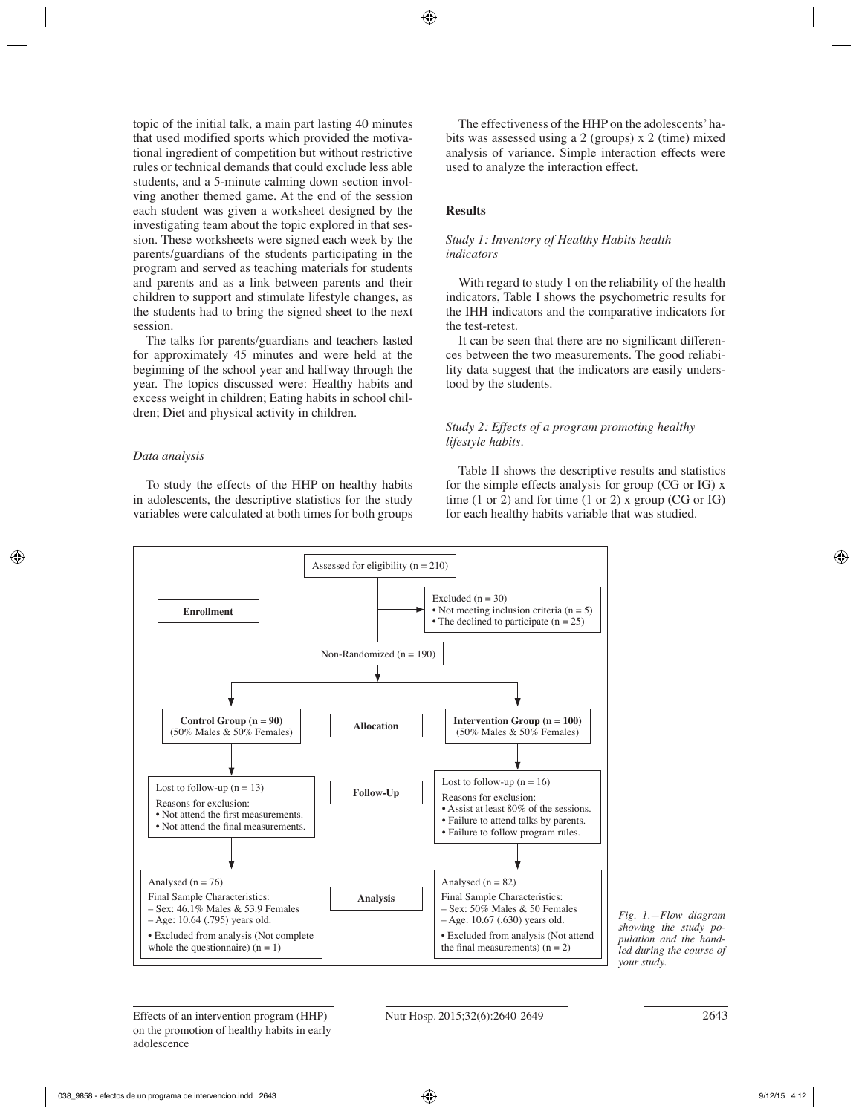topic of the initial talk, a main part lasting 40 minutes that used modified sports which provided the motivational ingredient of competition but without restrictive rules or technical demands that could exclude less able students, and a 5-minute calming down section involving another themed game. At the end of the session each student was given a worksheet designed by the investigating team about the topic explored in that session. These worksheets were signed each week by the parents/guardians of the students participating in the program and served as teaching materials for students and parents and as a link between parents and their children to support and stimulate lifestyle changes, as the students had to bring the signed sheet to the next session.

The talks for parents/guardians and teachers lasted for approximately 45 minutes and were held at the beginning of the school year and halfway through the year. The topics discussed were: Healthy habits and excess weight in children; Eating habits in school children; Diet and physical activity in children.

## *Data analysis*

To study the effects of the HHP on healthy habits in adolescents, the descriptive statistics for the study variables were calculated at both times for both groups

The effectiveness of the HHP on the adolescents' habits was assessed using a 2 (groups) x 2 (time) mixed analysis of variance. Simple interaction effects were used to analyze the interaction effect.

# **Results**

## *Study 1: Inventory of Healthy Habits health indicators*

With regard to study 1 on the reliability of the health indicators, Table I shows the psychometric results for the IHH indicators and the comparative indicators for the test-retest.

It can be seen that there are no significant differences between the two measurements. The good reliability data suggest that the indicators are easily understood by the students.

## *Study 2: Effects of a program promoting healthy lifestyle habits.*

Table II shows the descriptive results and statistics for the simple effects analysis for group (CG or IG) x time  $(1 \text{ or } 2)$  and for time  $(1 \text{ or } 2)$  x group  $(CG \text{ or } IG)$ for each healthy habits variable that was studied.



*Fig. 1.—Flow diagram showing the study population and the handled during the course of your study.*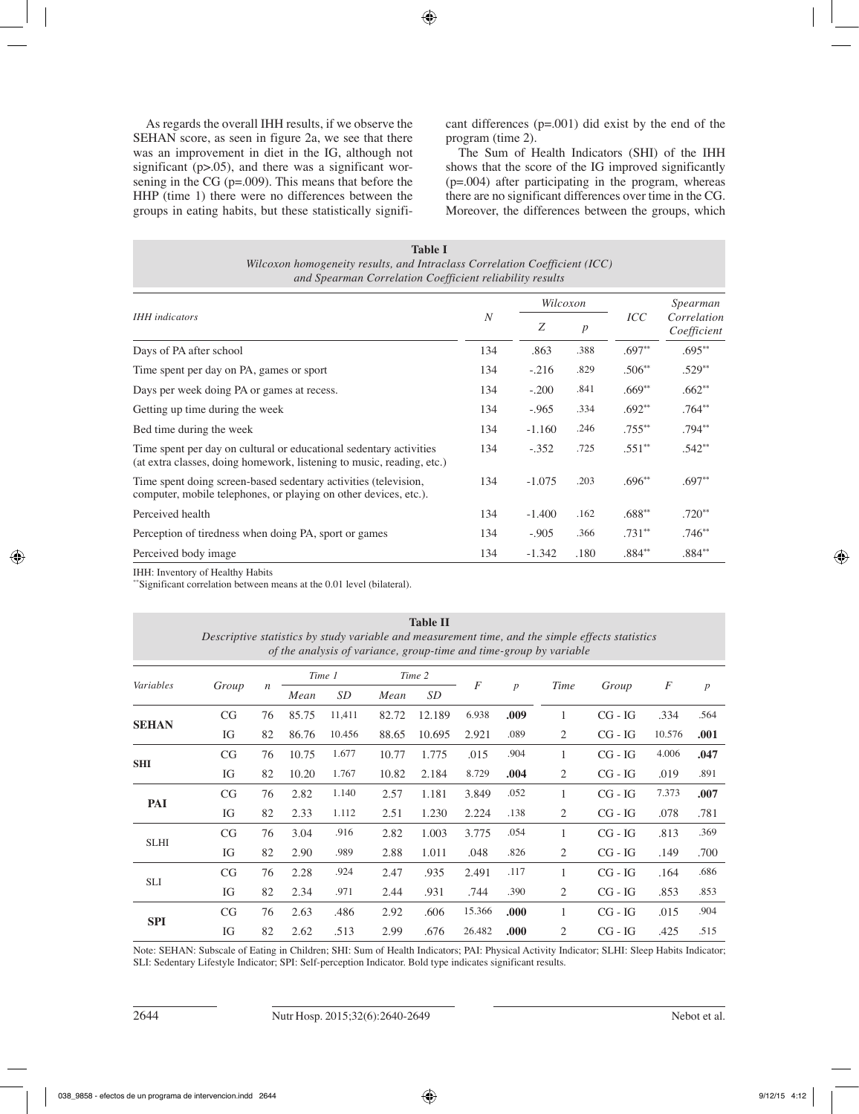As regards the overall IHH results, if we observe the SEHAN score, as seen in figure 2a, we see that there was an improvement in diet in the IG, although not significant (p>.05), and there was a significant worsening in the CG (p=.009). This means that before the HHP (time 1) there were no differences between the groups in eating habits, but these statistically significant differences (p=.001) did exist by the end of the program (time 2).

The Sum of Health Indicators (SHI) of the IHH shows that the score of the IG improved significantly (p=.004) after participating in the program, whereas there are no significant differences over time in the CG. Moreover, the differences between the groups, which

| Table I<br>Wilcoxon homogeneity results, and Intraclass Correlation Coefficient (ICC)<br>and Spearman Correlation Coefficient reliability results |                |          |                  |                   |                            |
|---------------------------------------------------------------------------------------------------------------------------------------------------|----------------|----------|------------------|-------------------|----------------------------|
|                                                                                                                                                   | $\overline{N}$ | Wilcoxon |                  |                   | Spearman                   |
| <b>IHH</b> indicators                                                                                                                             |                | Z        | $\boldsymbol{p}$ | ICC               | Correlation<br>Coefficient |
| Days of PA after school                                                                                                                           | 134            | .863     | .388             | $.697**$          | $.695**$                   |
| Time spent per day on PA, games or sport                                                                                                          | 134            | $-.216$  | .829             | $.506**$          | $.529**$                   |
| Days per week doing PA or games at recess.                                                                                                        | 134            | $-.200$  | .841             | $.669**$          | $.662**$                   |
| Getting up time during the week                                                                                                                   | 134            | $-.965$  | .334             | $.692**$          | $.764**$                   |
| Bed time during the week                                                                                                                          | 134            | $-1.160$ | .246             | $.755***$         | $.794**$                   |
| Time spent per day on cultural or educational sedentary activities<br>(at extra classes, doing homework, listening to music, reading, etc.)       | 134            | $-.352$  | .725             | $.551**$          | $.542**$                   |
| Time spent doing screen-based sedentary activities (television,<br>computer, mobile telephones, or playing on other devices, etc.).               | 134            | $-1.075$ | .203             | $.696**$          | $.697**$                   |
| Perceived health                                                                                                                                  | 134            | $-1.400$ | .162             | $.688^{\ast\ast}$ | $.720**$                   |
| Perception of tiredness when doing PA, sport or games                                                                                             | 134            | $-.905$  | .366             | $.731**$          | $.746**$                   |
| Perceived body image                                                                                                                              | 134            | $-1.342$ | .180             | $.884**$          | $.884**$                   |

IHH: Inventory of Healthy Habits

\*\*Significant correlation between means at the 0.01 level (bilateral).

| <b>Table II</b><br>Descriptive statistics by study variable and measurement time, and the simple effects statistics<br>of the analysis of variance, group-time and time-group by variable |       |                  |        |        |        |           |                |                  |                |           |        |                  |  |  |
|-------------------------------------------------------------------------------------------------------------------------------------------------------------------------------------------|-------|------------------|--------|--------|--------|-----------|----------------|------------------|----------------|-----------|--------|------------------|--|--|
| Variables                                                                                                                                                                                 | Group | $\boldsymbol{n}$ | Time 1 |        | Time 2 |           |                |                  |                |           |        |                  |  |  |
|                                                                                                                                                                                           |       |                  | Mean   | SD     | Mean   | <b>SD</b> | $\overline{F}$ | $\boldsymbol{p}$ | Time           | Group     | F      | $\boldsymbol{p}$ |  |  |
| <b>SEHAN</b>                                                                                                                                                                              | CG    | 76               | 85.75  | 11,411 | 82.72  | 12.189    | 6.938          | .009             | 1              | $CG - IG$ | .334   | .564             |  |  |
|                                                                                                                                                                                           | IG    | 82               | 86.76  | 10.456 | 88.65  | 10.695    | 2.921          | .089             | 2              | $CG - IG$ | 10.576 | .001             |  |  |
| <b>SHI</b>                                                                                                                                                                                | CG    | 76               | 10.75  | 1.677  | 10.77  | 1.775     | .015           | .904             | 1              | $CG - IG$ | 4.006  | .047             |  |  |
|                                                                                                                                                                                           | IG    | 82               | 10.20  | 1.767  | 10.82  | 2.184     | 8.729          | .004             | 2              | $CG - IG$ | .019   | .891             |  |  |
| PAI                                                                                                                                                                                       | CG    | 76               | 2.82   | 1.140  | 2.57   | 1.181     | 3.849          | .052             | 1              | $CG - IG$ | 7.373  | .007             |  |  |
|                                                                                                                                                                                           | IG    | 82               | 2.33   | 1.112  | 2.51   | 1.230     | 2.224          | .138             | 2              | $CG - IG$ | .078   | .781             |  |  |
| <b>SLHI</b>                                                                                                                                                                               | CG    | 76               | 3.04   | .916   | 2.82   | 1.003     | 3.775          | .054             | 1              | $CG - IG$ | .813   | .369             |  |  |
|                                                                                                                                                                                           | IG    | 82               | 2.90   | .989   | 2.88   | 1.011     | .048           | .826             | 2              | $CG - IG$ | .149   | .700             |  |  |
| <b>SLI</b>                                                                                                                                                                                | CG    | 76               | 2.28   | .924   | 2.47   | .935      | 2.491          | .117             | 1              | $CG - IG$ | .164   | .686             |  |  |
|                                                                                                                                                                                           | IG    | 82               | 2.34   | .971   | 2.44   | .931      | .744           | .390             | 2              | $CG - IG$ | .853   | .853             |  |  |
| <b>SPI</b>                                                                                                                                                                                | CG    | 76               | 2.63   | .486   | 2.92   | .606      | 15.366         | .000             | 1              | $CG - IG$ | .015   | .904             |  |  |
|                                                                                                                                                                                           | IG    | 82               | 2.62   | .513   | 2.99   | .676      | 26.482         | .000             | $\overline{2}$ | $CG - IG$ | .425   | .515             |  |  |

Note: SEHAN: Subscale of Eating in Children; SHI: Sum of Health Indicators; PAI: Physical Activity Indicator; SLHI: Sleep Habits Indicator; SLI: Sedentary Lifestyle Indicator; SPI: Self-perception Indicator. Bold type indicates significant results.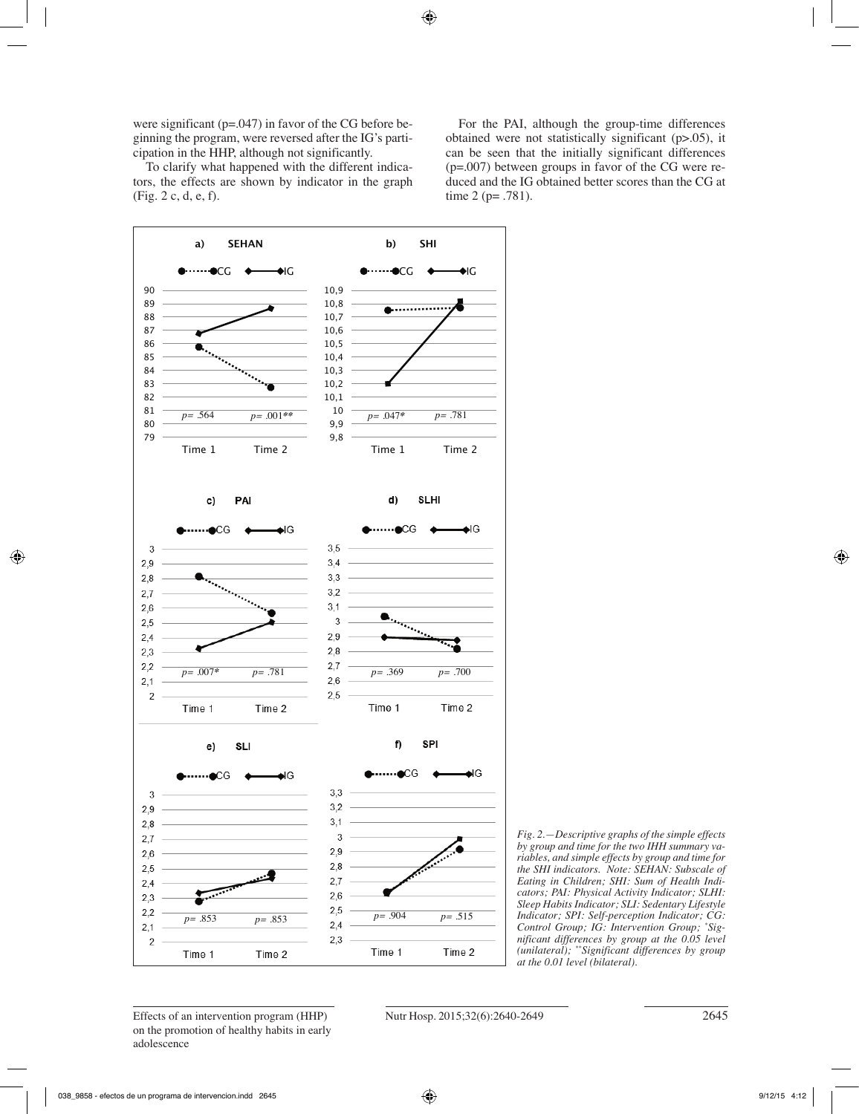were significant (p=.047) in favor of the CG before beginning the program, were reversed after the IG's participation in the HHP, although not significantly.

To clarify what happened with the different indicators, the effects are shown by indicator in the graph (Fig. 2 c, d, e, f).

For the PAI, although the group-time differences obtained were not statistically significant (p>.05), it can be seen that the initially significant differences (p=.007) between groups in favor of the CG were reduced and the IG obtained better scores than the CG at time 2 (p= .781).





Effects of an intervention program (HHP) Nutr Hosp. 2015;32(6):2640-2649 2645 on the promotion of healthy habits in early adolescence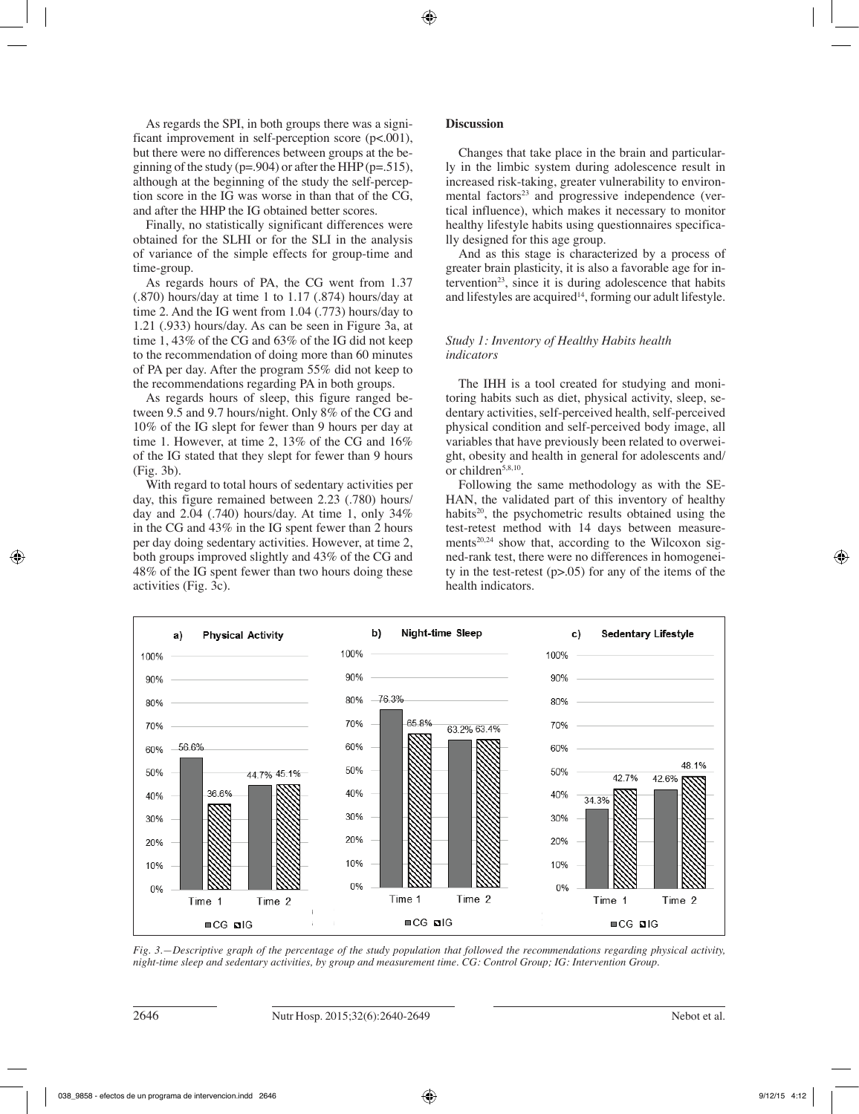As regards the SPI, in both groups there was a significant improvement in self-perception score (p<.001), but there were no differences between groups at the beginning of the study ( $p=.904$ ) or after the HHP ( $p=.515$ ), although at the beginning of the study the self-perception score in the IG was worse in than that of the CG, and after the HHP the IG obtained better scores.

Finally, no statistically significant differences were obtained for the SLHI or for the SLI in the analysis of variance of the simple effects for group-time and time-group.

As regards hours of PA, the CG went from 1.37 (.870) hours/day at time 1 to 1.17 (.874) hours/day at time 2. And the IG went from 1.04 (.773) hours/day to 1.21 (.933) hours/day. As can be seen in Figure 3a, at time 1, 43% of the CG and 63% of the IG did not keep to the recommendation of doing more than 60 minutes of PA per day. After the program 55% did not keep to the recommendations regarding PA in both groups.

As regards hours of sleep, this figure ranged between 9.5 and 9.7 hours/night. Only 8% of the CG and 10% of the IG slept for fewer than 9 hours per day at time 1. However, at time 2, 13% of the CG and 16% of the IG stated that they slept for fewer than 9 hours (Fig. 3b).

With regard to total hours of sedentary activities per day, this figure remained between 2.23 (.780) hours/ day and 2.04 (.740) hours/day. At time 1, only 34% in the CG and 43% in the IG spent fewer than 2 hours per day doing sedentary activities. However, at time 2, both groups improved slightly and 43% of the CG and 48% of the IG spent fewer than two hours doing these activities (Fig. 3c).

# **Discussion**

Changes that take place in the brain and particularly in the limbic system during adolescence result in increased risk-taking, greater vulnerability to environmental factors $23$  and progressive independence (vertical influence), which makes it necessary to monitor healthy lifestyle habits using questionnaires specifically designed for this age group.

And as this stage is characterized by a process of greater brain plasticity, it is also a favorable age for intervention<sup>23</sup>, since it is during adolescence that habits and lifestyles are acquired<sup>14</sup>, forming our adult lifestyle.

# *Study 1: Inventory of Healthy Habits health indicators*

The IHH is a tool created for studying and monitoring habits such as diet, physical activity, sleep, sedentary activities, self-perceived health, self-perceived physical condition and self-perceived body image, all variables that have previously been related to overweight, obesity and health in general for adolescents and/ or children<sup>5,8,10</sup>.

Following the same methodology as with the SE-HAN, the validated part of this inventory of healthy habits<sup>20</sup>, the psychometric results obtained using the test-retest method with 14 days between measurements<sup>20,24</sup> show that, according to the Wilcoxon signed-rank test, there were no differences in homogeneity in the test-retest  $(p>0.05)$  for any of the items of the health indicators.



*Fig. 3.—Descriptive graph of the percentage of the study population that followed the recommendations regarding physical activity, night-time sleep and sedentary activities, by group and measurement time. CG: Control Group; IG: Intervention Group.*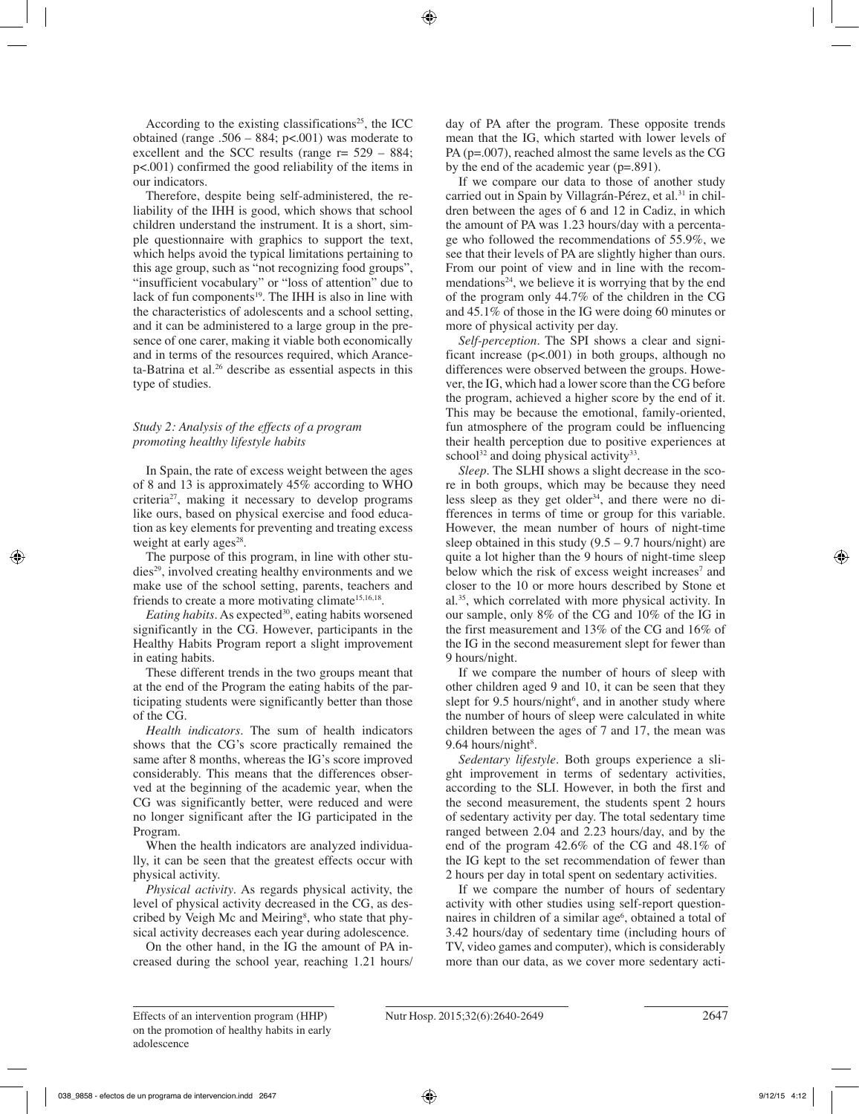According to the existing classifications<sup>25</sup>, the ICC obtained (range .506 – 884;  $p<.001$ ) was moderate to excellent and the SCC results (range  $r = 529 - 884$ ; p<.001) confirmed the good reliability of the items in our indicators.

Therefore, despite being self-administered, the reliability of the IHH is good, which shows that school children understand the instrument. It is a short, simple questionnaire with graphics to support the text, which helps avoid the typical limitations pertaining to this age group, such as "not recognizing food groups", "insufficient vocabulary" or "loss of attention" due to lack of fun components<sup>19</sup>. The IHH is also in line with the characteristics of adolescents and a school setting, and it can be administered to a large group in the presence of one carer, making it viable both economically and in terms of the resources required, which Aranceta-Batrina et al.<sup>26</sup> describe as essential aspects in this type of studies.

## *Study 2: Analysis of the effects of a program promoting healthy lifestyle habits*

In Spain, the rate of excess weight between the ages of 8 and 13 is approximately 45% according to WHO criteria27, making it necessary to develop programs like ours, based on physical exercise and food education as key elements for preventing and treating excess weight at early ages<sup>28</sup>.

The purpose of this program, in line with other studies29, involved creating healthy environments and we make use of the school setting, parents, teachers and friends to create a more motivating climate<sup>15,16,18</sup>.

*Eating habits*. As expected<sup>30</sup>, eating habits worsened significantly in the CG. However, participants in the Healthy Habits Program report a slight improvement in eating habits.

These different trends in the two groups meant that at the end of the Program the eating habits of the participating students were significantly better than those of the CG.

*Health indicators*. The sum of health indicators shows that the CG's score practically remained the same after 8 months, whereas the IG's score improved considerably. This means that the differences observed at the beginning of the academic year, when the CG was significantly better, were reduced and were no longer significant after the IG participated in the Program.

When the health indicators are analyzed individually, it can be seen that the greatest effects occur with physical activity.

*Physical activity*. As regards physical activity, the level of physical activity decreased in the CG, as described by Veigh Mc and Meiring<sup>8</sup>, who state that physical activity decreases each year during adolescence.

On the other hand, in the IG the amount of PA increased during the school year, reaching 1.21 hours/ day of PA after the program. These opposite trends mean that the IG, which started with lower levels of PA (p=.007), reached almost the same levels as the CG by the end of the academic year (p=.891).

If we compare our data to those of another study carried out in Spain by Villagrán-Pérez, et al.<sup>31</sup> in children between the ages of 6 and 12 in Cadiz, in which the amount of PA was 1.23 hours/day with a percentage who followed the recommendations of 55.9%, we see that their levels of PA are slightly higher than ours. From our point of view and in line with the recommendations<sup>24</sup>, we believe it is worrying that by the end of the program only 44.7% of the children in the CG and 45.1% of those in the IG were doing 60 minutes or more of physical activity per day.

*Self-perception*. The SPI shows a clear and significant increase  $(p<.001)$  in both groups, although no differences were observed between the groups. However, the IG, which had a lower score than the CG before the program, achieved a higher score by the end of it. This may be because the emotional, family-oriented, fun atmosphere of the program could be influencing their health perception due to positive experiences at school<sup>32</sup> and doing physical activity<sup>33</sup>.

*Sleep.* The SLHI shows a slight decrease in the score in both groups, which may be because they need less sleep as they get older<sup>34</sup>, and there were no differences in terms of time or group for this variable. However, the mean number of hours of night-time sleep obtained in this study  $(9.5 - 9.7$  hours/night) are quite a lot higher than the 9 hours of night-time sleep below which the risk of excess weight increases<sup>7</sup> and closer to the 10 or more hours described by Stone et al.35, which correlated with more physical activity. In our sample, only 8% of the CG and 10% of the IG in the first measurement and 13% of the CG and 16% of the IG in the second measurement slept for fewer than 9 hours/night.

If we compare the number of hours of sleep with other children aged 9 and 10, it can be seen that they slept for 9.5 hours/night<sup>6</sup>, and in another study where the number of hours of sleep were calculated in white children between the ages of 7 and 17, the mean was  $9.64$  hours/night<sup>8</sup>.

*Sedentary lifestyle.* Both groups experience a slight improvement in terms of sedentary activities, according to the SLI. However, in both the first and the second measurement, the students spent 2 hours of sedentary activity per day. The total sedentary time ranged between 2.04 and 2.23 hours/day, and by the end of the program 42.6% of the CG and 48.1% of the IG kept to the set recommendation of fewer than 2 hours per day in total spent on sedentary activities.

If we compare the number of hours of sedentary activity with other studies using self-report questionnaires in children of a similar age<sup>6</sup>, obtained a total of 3.42 hours/day of sedentary time (including hours of TV, video games and computer), which is considerably more than our data, as we cover more sedentary acti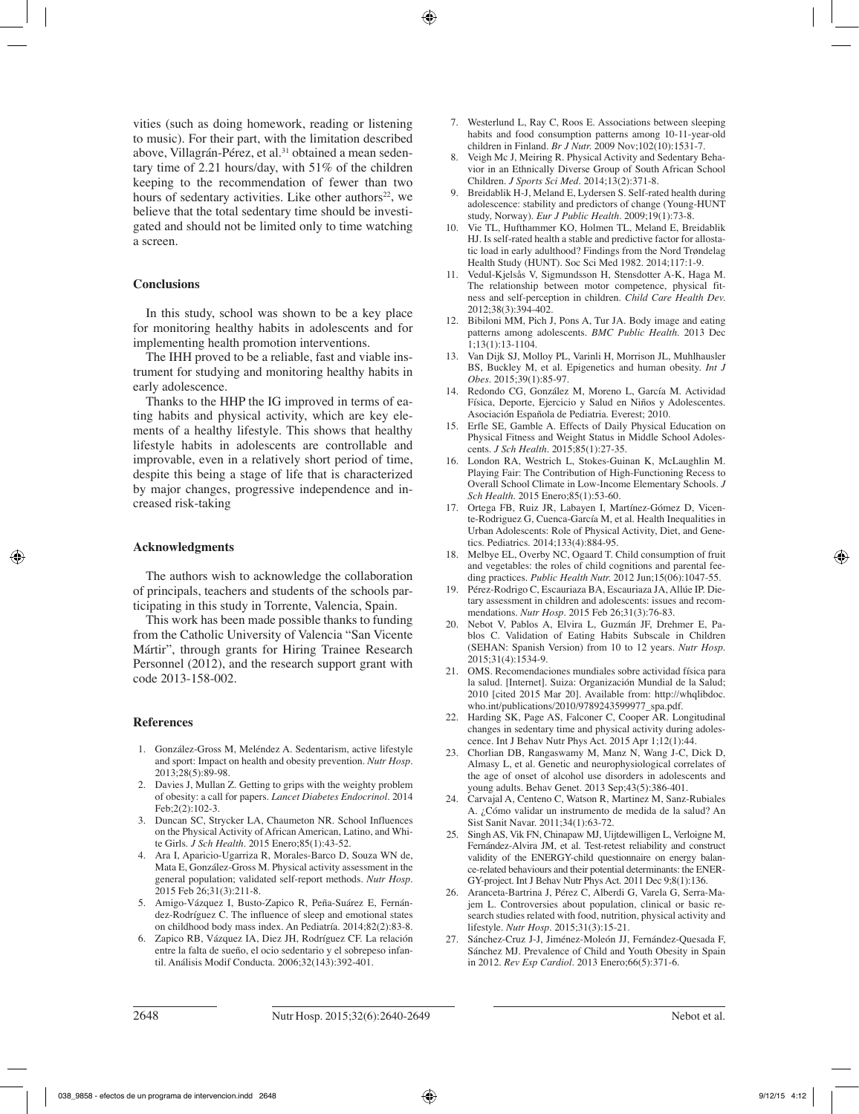vities (such as doing homework, reading or listening to music). For their part, with the limitation described above, Villagrán-Pérez, et al.<sup>31</sup> obtained a mean sedentary time of 2.21 hours/day, with 51% of the children keeping to the recommendation of fewer than two hours of sedentary activities. Like other authors<sup>22</sup>, we believe that the total sedentary time should be investigated and should not be limited only to time watching a screen.

#### **Conclusions**

In this study, school was shown to be a key place for monitoring healthy habits in adolescents and for implementing health promotion interventions.

The IHH proved to be a reliable, fast and viable instrument for studying and monitoring healthy habits in early adolescence.

Thanks to the HHP the IG improved in terms of eating habits and physical activity, which are key elements of a healthy lifestyle. This shows that healthy lifestyle habits in adolescents are controllable and improvable, even in a relatively short period of time, despite this being a stage of life that is characterized by major changes, progressive independence and increased risk-taking

## **Acknowledgments**

The authors wish to acknowledge the collaboration of principals, teachers and students of the schools participating in this study in Torrente, Valencia, Spain.

This work has been made possible thanks to funding from the Catholic University of Valencia "San Vicente Mártir", through grants for Hiring Trainee Research Personnel (2012), and the research support grant with code 2013-158-002.

#### **References**

- 1. González-Gross M, Meléndez A. Sedentarism, active lifestyle and sport: Impact on health and obesity prevention. *Nutr Hosp.* 2013;28(5):89-98.
- 2. Davies J, Mullan Z. Getting to grips with the weighty problem of obesity: a call for papers. *Lancet Diabetes Endocrinol.* 2014 Feb;2(2):102-3.
- 3. Duncan SC, Strycker LA, Chaumeton NR. School Influences on the Physical Activity of African American, Latino, and White Girls. *J Sch Health.* 2015 Enero;85(1):43-52.
- 4. Ara I, Aparicio-Ugarriza R, Morales-Barco D, Souza WN de, Mata E, González-Gross M. Physical activity assessment in the general population; validated self-report methods. *Nutr Hosp.* 2015 Feb 26;31(3):211-8.
- 5. Amigo-Vázquez I, Busto-Zapico R, Peña-Suárez E, Fernández-Rodríguez C. The influence of sleep and emotional states on childhood body mass index. An Pediatría. 2014;82(2):83-8.
- 6. Zapico RB, Vázquez IA, Diez JH, Rodríguez CF. La relación entre la falta de sueño, el ocio sedentario y el sobrepeso infantil. Análisis Modif Conducta. 2006;32(143):392-401.
- 7. Westerlund L, Ray C, Roos E. Associations between sleeping habits and food consumption patterns among 10-11-year-old children in Finland. *Br J Nutr.* 2009 Nov;102(10):1531-7.
- 8. Veigh Mc J, Meiring R. Physical Activity and Sedentary Behavior in an Ethnically Diverse Group of South African School Children. *J Sports Sci Med.* 2014;13(2):371-8.
- 9. Breidablik H-J, Meland E, Lydersen S. Self-rated health during adolescence: stability and predictors of change (Young-HUNT study, Norway). *Eur J Public Health.* 2009;19(1):73-8.
- 10. Vie TL, Hufthammer KO, Holmen TL, Meland E, Breidablik HJ. Is self-rated health a stable and predictive factor for allostatic load in early adulthood? Findings from the Nord Trøndelag Health Study (HUNT). Soc Sci Med 1982. 2014;117:1-9.
- 11. Vedul-Kjelsås V, Sigmundsson H, Stensdotter A-K, Haga M. The relationship between motor competence, physical fitness and self-perception in children. *Child Care Health Dev.* 2012;38(3):394-402.
- 12. Bibiloni MM, Pich J, Pons A, Tur JA. Body image and eating patterns among adolescents. *BMC Public Health.* 2013 Dec  $1:13(1):13-1104.$
- 13. Van Dijk SJ, Molloy PL, Varinli H, Morrison JL, Muhlhausler BS, Buckley M, et al. Epigenetics and human obesity. *Int J Obes.* 2015;39(1):85-97.
- 14. Redondo CG, González M, Moreno L, García M. Actividad Física, Deporte, Ejercicio y Salud en Niños y Adolescentes. Asociación Española de Pediatria. Everest; 2010.
- 15. Erfle SE, Gamble A. Effects of Daily Physical Education on Physical Fitness and Weight Status in Middle School Adolescents. *J Sch Health.* 2015;85(1):27-35.
- 16. London RA, Westrich L, Stokes-Guinan K, McLaughlin M. Playing Fair: The Contribution of High-Functioning Recess to Overall School Climate in Low-Income Elementary Schools. *J Sch Health.* 2015 Enero;85(1):53-60.
- 17. Ortega FB, Ruiz JR, Labayen I, Martínez-Gómez D, Vicente-Rodriguez G, Cuenca-García M, et al. Health Inequalities in Urban Adolescents: Role of Physical Activity, Diet, and Genetics. Pediatrics. 2014;133(4):884-95.
- 18. Melbye EL, Overby NC, Ogaard T. Child consumption of fruit and vegetables: the roles of child cognitions and parental feeding practices. *Public Health Nutr.* 2012 Jun;15(06):1047-55.
- 19. Pérez-Rodrigo C, Escauriaza BA, Escauriaza JA, Allúe IP. Dietary assessment in children and adolescents: issues and recommendations. *Nutr Hosp.* 2015 Feb 26;31(3):76-83.
- 20. Nebot V, Pablos A, Elvira L, Guzmán JF, Drehmer E, Pablos C. Validation of Eating Habits Subscale in Children (SEHAN: Spanish Version) from 10 to 12 years. *Nutr Hosp.*  2015;31(4):1534-9.
- 21. OMS. Recomendaciones mundiales sobre actividad física para la salud. [Internet]. Suiza: Organización Mundial de la Salud; 2010 [cited 2015 Mar 20]. Available from: http://whqlibdoc. who.int/publications/2010/9789243599977\_spa.pdf.
- 22. Harding SK, Page AS, Falconer C, Cooper AR. Longitudinal changes in sedentary time and physical activity during adolescence. Int J Behav Nutr Phys Act. 2015 Apr 1;12(1):44.
- 23. Chorlian DB, Rangaswamy M, Manz N, Wang J-C, Dick D, Almasy L, et al. Genetic and neurophysiological correlates of the age of onset of alcohol use disorders in adolescents and young adults. Behav Genet. 2013 Sep;43(5):386-401.
- 24. Carvajal A, Centeno C, Watson R, Martinez M, Sanz-Rubiales A. ¿Cómo validar un instrumento de medida de la salud? An Sist Sanit Navar. 2011;34(1):63-72.
- 25. Singh AS, Vik FN, Chinapaw MJ, Uijtdewilligen L, Verloigne M, Fernández-Alvira JM, et al. Test-retest reliability and construct validity of the ENERGY-child questionnaire on energy balance-related behaviours and their potential determinants: the ENER-GY-project. Int J Behav Nutr Phys Act. 2011 Dec 9;8(1):136.
- 26. Aranceta-Bartrina J, Pérez C, Alberdi G, Varela G, Serra-Majem L. Controversies about population, clinical or basic research studies related with food, nutrition, physical activity and lifestyle. *Nutr Hosp.* 2015;31(3):15-21.
- 27. Sánchez-Cruz J-J, Jiménez-Moleón JJ, Fernández-Quesada F, Sánchez MJ. Prevalence of Child and Youth Obesity in Spain in 2012. *Rev Esp Cardiol.* 2013 Enero;66(5):371-6.